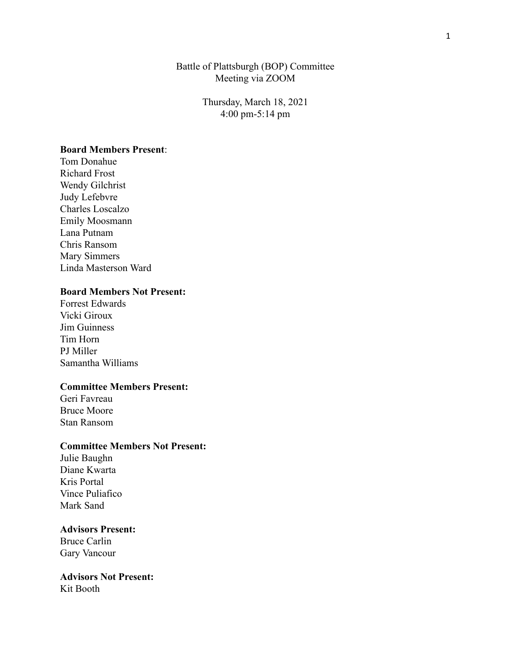### Battle of Plattsburgh (BOP) Committee Meeting via ZOOM

Thursday, March 18, 2021 4:00 pm-5:14 pm

### **Board Members Present**:

Tom Donahue Richard Frost Wendy Gilchrist Judy Lefebvre Charles Loscalzo Emily Moosmann Lana Putnam Chris Ransom Mary Simmers Linda Masterson Ward

### **Board Members Not Present:**

Forrest Edwards Vicki Giroux Jim Guinness Tim Horn PJ Miller Samantha Williams

# **Committee Members Present:**

Geri Favreau Bruce Moore Stan Ransom

## **Committee Members Not Present:**

Julie Baughn Diane Kwarta Kris Portal Vince Puliafico Mark Sand

## **Advisors Present:**

Bruce Carlin Gary Vancour

**Advisors Not Present:** Kit Booth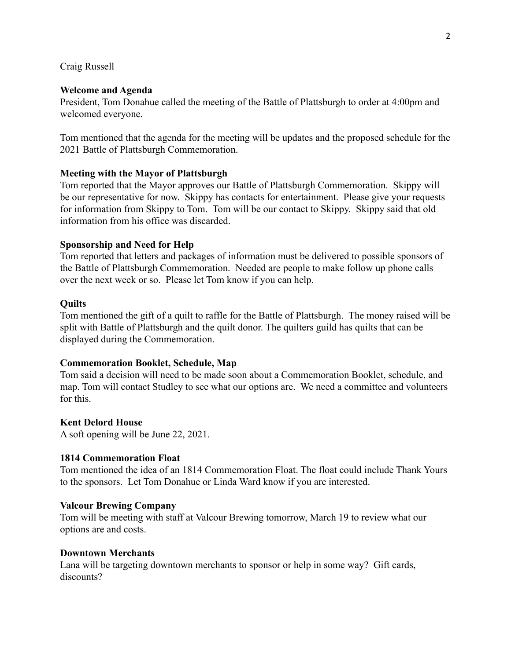Craig Russell

#### **Welcome and Agenda**

President, Tom Donahue called the meeting of the Battle of Plattsburgh to order at 4:00pm and welcomed everyone.

Tom mentioned that the agenda for the meeting will be updates and the proposed schedule for the 2021 Battle of Plattsburgh Commemoration.

#### **Meeting with the Mayor of Plattsburgh**

Tom reported that the Mayor approves our Battle of Plattsburgh Commemoration. Skippy will be our representative for now. Skippy has contacts for entertainment. Please give your requests for information from Skippy to Tom. Tom will be our contact to Skippy. Skippy said that old information from his office was discarded.

#### **Sponsorship and Need for Help**

Tom reported that letters and packages of information must be delivered to possible sponsors of the Battle of Plattsburgh Commemoration. Needed are people to make follow up phone calls over the next week or so. Please let Tom know if you can help.

#### **Quilts**

Tom mentioned the gift of a quilt to raffle for the Battle of Plattsburgh. The money raised will be split with Battle of Plattsburgh and the quilt donor. The quilters guild has quilts that can be displayed during the Commemoration.

#### **Commemoration Booklet, Schedule, Map**

Tom said a decision will need to be made soon about a Commemoration Booklet, schedule, and map. Tom will contact Studley to see what our options are. We need a committee and volunteers for this.

#### **Kent Delord House**

A soft opening will be June 22, 2021.

#### **1814 Commemoration Float**

Tom mentioned the idea of an 1814 Commemoration Float. The float could include Thank Yours to the sponsors. Let Tom Donahue or Linda Ward know if you are interested.

#### **Valcour Brewing Company**

Tom will be meeting with staff at Valcour Brewing tomorrow, March 19 to review what our options are and costs.

#### **Downtown Merchants**

Lana will be targeting downtown merchants to sponsor or help in some way? Gift cards, discounts?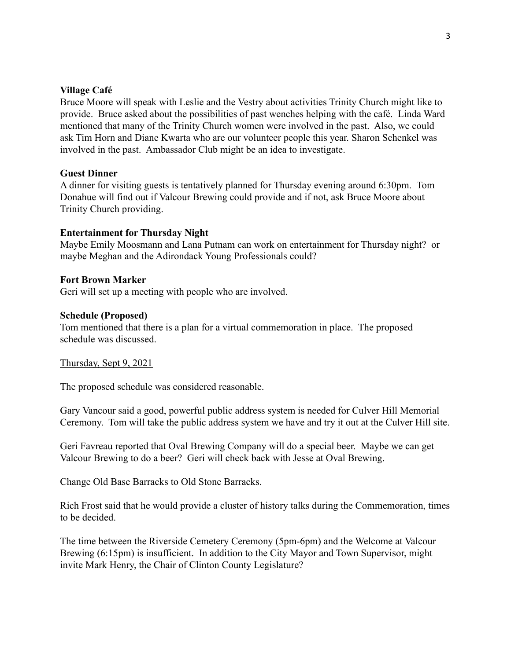#### **Village Café**

Bruce Moore will speak with Leslie and the Vestry about activities Trinity Church might like to provide. Bruce asked about the possibilities of past wenches helping with the café. Linda Ward mentioned that many of the Trinity Church women were involved in the past. Also, we could ask Tim Horn and Diane Kwarta who are our volunteer people this year. Sharon Schenkel was involved in the past. Ambassador Club might be an idea to investigate.

#### **Guest Dinner**

A dinner for visiting guests is tentatively planned for Thursday evening around 6:30pm. Tom Donahue will find out if Valcour Brewing could provide and if not, ask Bruce Moore about Trinity Church providing.

### **Entertainment for Thursday Night**

Maybe Emily Moosmann and Lana Putnam can work on entertainment for Thursday night? or maybe Meghan and the Adirondack Young Professionals could?

#### **Fort Brown Marker**

Geri will set up a meeting with people who are involved.

### **Schedule (Proposed)**

Tom mentioned that there is a plan for a virtual commemoration in place. The proposed schedule was discussed.

#### Thursday, Sept 9, 2021

The proposed schedule was considered reasonable.

Gary Vancour said a good, powerful public address system is needed for Culver Hill Memorial Ceremony. Tom will take the public address system we have and try it out at the Culver Hill site.

Geri Favreau reported that Oval Brewing Company will do a special beer. Maybe we can get Valcour Brewing to do a beer? Geri will check back with Jesse at Oval Brewing.

Change Old Base Barracks to Old Stone Barracks.

Rich Frost said that he would provide a cluster of history talks during the Commemoration, times to be decided.

The time between the Riverside Cemetery Ceremony (5pm-6pm) and the Welcome at Valcour Brewing (6:15pm) is insufficient. In addition to the City Mayor and Town Supervisor, might invite Mark Henry, the Chair of Clinton County Legislature?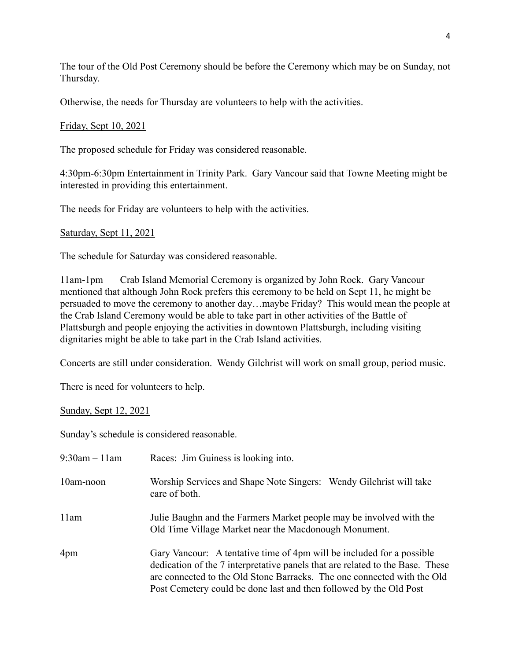The tour of the Old Post Ceremony should be before the Ceremony which may be on Sunday, not Thursday.

Otherwise, the needs for Thursday are volunteers to help with the activities.

# Friday, Sept 10, 2021

The proposed schedule for Friday was considered reasonable.

4:30pm-6:30pm Entertainment in Trinity Park. Gary Vancour said that Towne Meeting might be interested in providing this entertainment.

The needs for Friday are volunteers to help with the activities.

# Saturday, Sept 11, 2021

The schedule for Saturday was considered reasonable.

11am-1pm Crab Island Memorial Ceremony is organized by John Rock. Gary Vancour mentioned that although John Rock prefers this ceremony to be held on Sept 11, he might be persuaded to move the ceremony to another day…maybe Friday? This would mean the people at the Crab Island Ceremony would be able to take part in other activities of the Battle of Plattsburgh and people enjoying the activities in downtown Plattsburgh, including visiting dignitaries might be able to take part in the Crab Island activities.

Concerts are still under consideration. Wendy Gilchrist will work on small group, period music.

There is need for volunteers to help.

# Sunday, Sept 12, 2021

Sunday's schedule is considered reasonable.

| $9:30$ am $-11$ am | Races: Jim Guiness is looking into.                                                                                                                                                                                                                                                                     |
|--------------------|---------------------------------------------------------------------------------------------------------------------------------------------------------------------------------------------------------------------------------------------------------------------------------------------------------|
| 10am-noon          | Worship Services and Shape Note Singers: Wendy Gilchrist will take<br>care of both.                                                                                                                                                                                                                     |
| 11am               | Julie Baughn and the Farmers Market people may be involved with the<br>Old Time Village Market near the Macdonough Monument.                                                                                                                                                                            |
| 4pm                | Gary Vancour: A tentative time of 4pm will be included for a possible<br>dedication of the 7 interpretative panels that are related to the Base. These<br>are connected to the Old Stone Barracks. The one connected with the Old<br>Post Cemetery could be done last and then followed by the Old Post |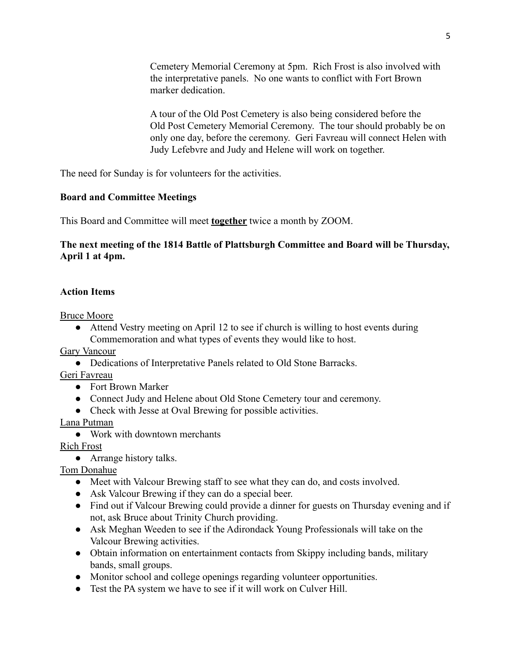Cemetery Memorial Ceremony at 5pm. Rich Frost is also involved with the interpretative panels. No one wants to conflict with Fort Brown marker dedication.

A tour of the Old Post Cemetery is also being considered before the Old Post Cemetery Memorial Ceremony. The tour should probably be on only one day, before the ceremony. Geri Favreau will connect Helen with Judy Lefebvre and Judy and Helene will work on together.

The need for Sunday is for volunteers for the activities.

## **Board and Committee Meetings**

This Board and Committee will meet **together** twice a month by ZOOM.

# **The next meeting of the 1814 Battle of Plattsburgh Committee and Board will be Thursday, April 1 at 4pm.**

## **Action Items**

Bruce Moore

• Attend Vestry meeting on April 12 to see if church is willing to host events during Commemoration and what types of events they would like to host.

Gary Vancour

● Dedications of Interpretative Panels related to Old Stone Barracks.

Geri Favreau

- Fort Brown Marker
- Connect Judy and Helene about Old Stone Cemetery tour and ceremony.
- Check with Jesse at Oval Brewing for possible activities.

Lana Putman

● Work with downtown merchants

Rich Frost

• Arrange history talks.

Tom Donahue

- Meet with Valcour Brewing staff to see what they can do, and costs involved.
- Ask Valcour Brewing if they can do a special beer.
- Find out if Valcour Brewing could provide a dinner for guests on Thursday evening and if not, ask Bruce about Trinity Church providing.
- Ask Meghan Weeden to see if the Adirondack Young Professionals will take on the Valcour Brewing activities.
- Obtain information on entertainment contacts from Skippy including bands, military bands, small groups.
- Monitor school and college openings regarding volunteer opportunities.
- Test the PA system we have to see if it will work on Culver Hill.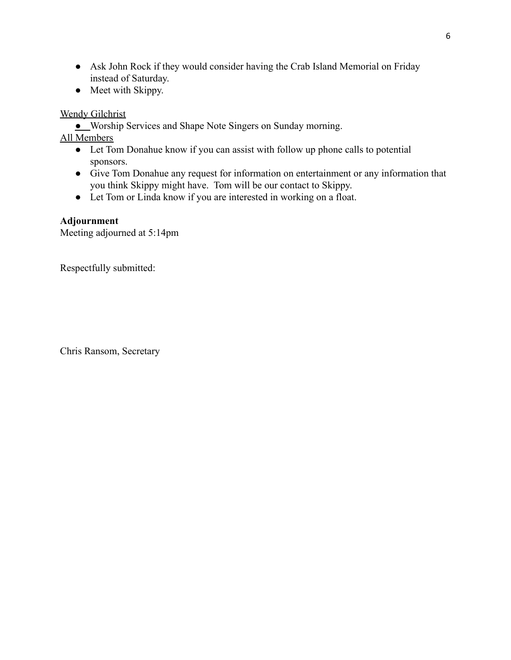- Ask John Rock if they would consider having the Crab Island Memorial on Friday instead of Saturday.
- Meet with Skippy.

Wendy Gilchrist

● Worship Services and Shape Note Singers on Sunday morning.

All Members

- Let Tom Donahue know if you can assist with follow up phone calls to potential sponsors.
- Give Tom Donahue any request for information on entertainment or any information that you think Skippy might have. Tom will be our contact to Skippy.
- Let Tom or Linda know if you are interested in working on a float.

# **Adjournment**

Meeting adjourned at 5:14pm

Respectfully submitted:

Chris Ransom, Secretary